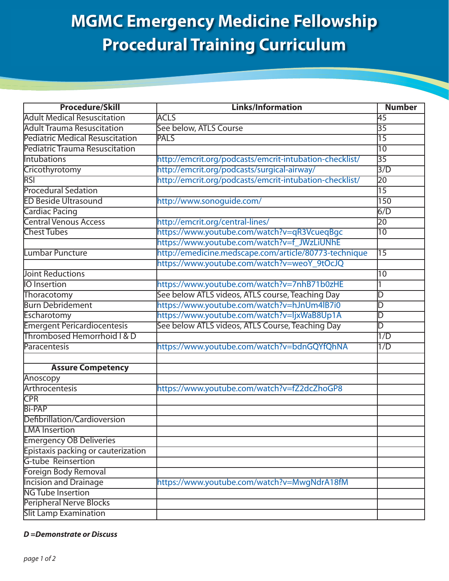## **MGMC Emergency Medicine Fellowship Procedural Training Curriculum**

| <b>Procedure/Skill</b>                 | <b>Links/Information</b>                                | <b>Number</b>   |
|----------------------------------------|---------------------------------------------------------|-----------------|
| <b>Adult Medical Resuscitation</b>     | <b>ACLS</b>                                             | 45              |
| <b>Adult Trauma Resuscitation</b>      | See below, ATLS Course                                  | 35              |
| <b>Pediatric Medical Resuscitation</b> | <b>PALS</b>                                             | $\overline{15}$ |
| <b>Pediatric Trauma Resuscitation</b>  |                                                         | $\overline{10}$ |
| Intubations                            | http://emcrit.org/podcasts/emcrit-intubation-checklist/ | $\overline{35}$ |
| Cricothyrotomy                         | http://emcrit.org/podcasts/surgical-airway/             | 3/D             |
| <b>RSI</b>                             | http://emcrit.org/podcasts/emcrit-intubation-checklist/ | $\overline{20}$ |
| <b>Procedural Sedation</b>             |                                                         | $\overline{15}$ |
| <b>ED Beside Ultrasound</b>            | http://www.sonoguide.com/                               | 150             |
| <b>Cardiac Pacing</b>                  |                                                         | 6/D             |
| <b>Central Venous Access</b>           | http://emcrit.org/central-lines/                        | 20              |
| <b>Chest Tubes</b>                     | https://www.youtube.com/watch?v=qR3VcueqBgc             | $\overline{10}$ |
|                                        | https://www.youtube.com/watch?v=f_JWzLiUNhE             |                 |
| Lumbar Puncture                        | http://emedicine.medscape.com/article/80773-technique   | $\overline{15}$ |
|                                        | https://www.youtube.com/watch?v=weoY_9tOcJQ             |                 |
| <b>Joint Reductions</b>                |                                                         | 10              |
| <b>IO</b> Insertion                    | https://www.youtube.com/watch?v=7nhB71b0zHE             |                 |
| Thoracotomy                            | See below ATLS videos, ATLS course, Teaching Day        | D               |
| <b>Burn Debridement</b>                | https://www.youtube.com/watch?v=hJnUm4lB7i0             | D               |
| Escharotomy                            | https://www.youtube.com/watch?v=ljxWaB8Up1A             | D               |
| <b>Emergent Pericardiocentesis</b>     | See below ATLS videos, ATLS Course, Teaching Day        | D               |
| Thrombosed Hemorrhoid   & D            |                                                         | 1/D             |
| Paracentesis                           | https://www.youtube.com/watch?v=bdnGQYfQhNA             | 1/D             |
| <b>Assure Competency</b>               |                                                         |                 |
| Anoscopy                               |                                                         |                 |
| Arthrocentesis                         | https://www.youtube.com/watch?v=fZ2dcZhoGP8             |                 |
| <b>CPR</b>                             |                                                         |                 |
| <b>Bi-PAP</b>                          |                                                         |                 |
| Defibrillation/Cardioversion           |                                                         |                 |
| <b>LMA</b> Insertion                   |                                                         |                 |
| <b>Emergency OB Deliveries</b>         |                                                         |                 |
| Epistaxis packing or cauterization     |                                                         |                 |
| <b>G-tube Reinsertion</b>              |                                                         |                 |
| Foreign Body Removal                   |                                                         |                 |
| <b>Incision and Drainage</b>           | https://www.youtube.com/watch?v=MwgNdrA18fM             |                 |
| <b>NG Tube Insertion</b>               |                                                         |                 |
| Peripheral Nerve Blocks                |                                                         |                 |
| <b>Slit Lamp Examination</b>           |                                                         |                 |

## *D =Demonstrate or Discuss*